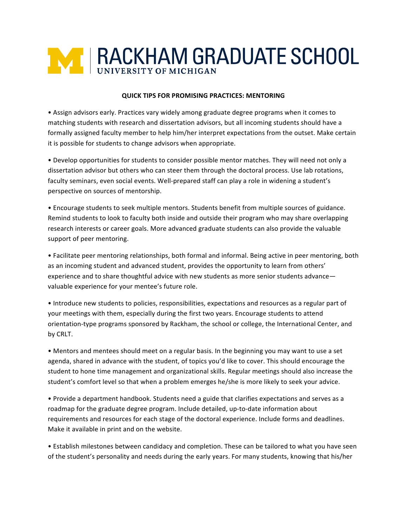## **M | RACKHAM GRADUATE SCHOOL**

## **QUICK TIPS FOR PROMISING PRACTICES: MENTORING**

• Assign advisors early. Practices vary widely among graduate degree programs when it comes to matching students with research and dissertation advisors, but all incoming students should have a formally assigned faculty member to help him/her interpret expectations from the outset. Make certain it is possible for students to change advisors when appropriate.

• Develop opportunities for students to consider possible mentor matches. They will need not only a dissertation advisor but others who can steer them through the doctoral process. Use lab rotations, faculty seminars, even social events. Well-prepared staff can play a role in widening a student's perspective on sources of mentorship.

• Encourage students to seek multiple mentors. Students benefit from multiple sources of guidance. Remind students to look to faculty both inside and outside their program who may share overlapping research interests or career goals. More advanced graduate students can also provide the valuable support of peer mentoring.

• Facilitate peer mentoring relationships, both formal and informal. Being active in peer mentoring, both as an incoming student and advanced student, provides the opportunity to learn from others' experience and to share thoughtful advice with new students as more senior students advance valuable experience for your mentee's future role.

• Introduce new students to policies, responsibilities, expectations and resources as a regular part of your meetings with them, especially during the first two years. Encourage students to attend orientation-type programs sponsored by Rackham, the school or college, the International Center, and by CRLT. 

• Mentors and mentees should meet on a regular basis. In the beginning you may want to use a set agenda, shared in advance with the student, of topics you'd like to cover. This should encourage the student to hone time management and organizational skills. Regular meetings should also increase the student's comfort level so that when a problem emerges he/she is more likely to seek your advice.

• Provide a department handbook. Students need a guide that clarifies expectations and serves as a roadmap for the graduate degree program. Include detailed, up-to-date information about requirements and resources for each stage of the doctoral experience. Include forms and deadlines. Make it available in print and on the website.

• Establish milestones between candidacy and completion. These can be tailored to what you have seen of the student's personality and needs during the early years. For many students, knowing that his/her